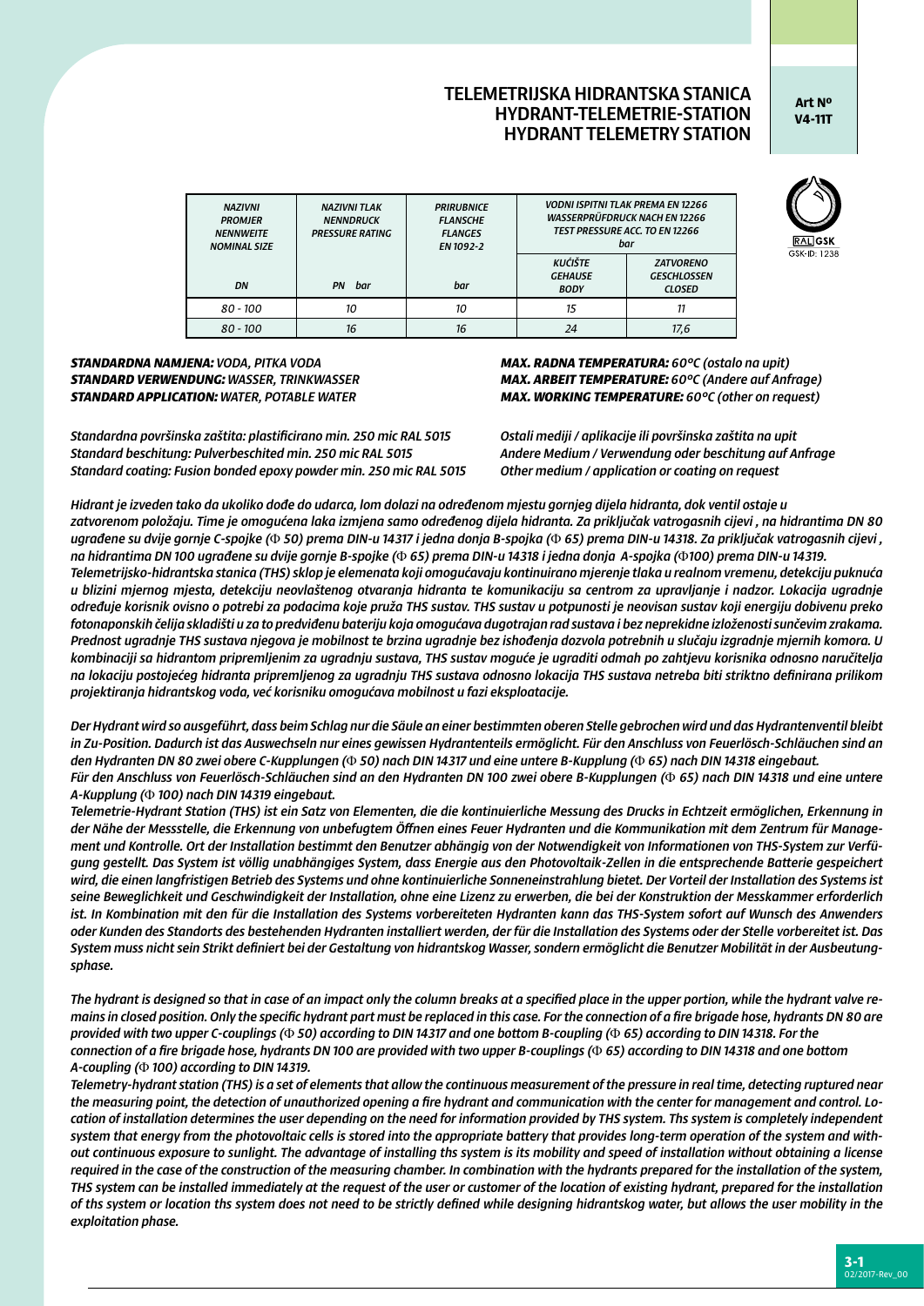## TELEMETRIJSKA HIDRANTSKA STANICA HYDRANT-TELEMETRIE-STATION HYDRANT TELEMETRY STATION

**Art Nº V4-11T**

| <b>NAZIVNI</b><br><b>PROMJER</b><br><b>NENNWEITE</b><br><b>NOMINAL SIZE</b> | <b>NAZIVNI TLAK</b><br><b>NENNDRUCK</b><br><b>PRESSURE RATING</b> | <b>PRIRUBNICE</b><br><b>FLANSCHE</b><br><b>FLANGES</b><br>EN 1092-2 | <b>VODNI ISPITNI TLAK PREMA EN 12266</b><br><b>WASSERPRÜFDRUCK NACH EN 12266</b><br>TEST PRESSURE ACC. TO EN 12266<br>bar |                                                         |  |
|-----------------------------------------------------------------------------|-------------------------------------------------------------------|---------------------------------------------------------------------|---------------------------------------------------------------------------------------------------------------------------|---------------------------------------------------------|--|
| DN                                                                          | PN<br>bar                                                         | bar                                                                 | <b>KUĆIŠTE</b><br><b>GEHAUSE</b><br><b>BODY</b>                                                                           | <b>ZATVORENO</b><br><b>GESCHLOSSEN</b><br><b>CLOSED</b> |  |
|                                                                             |                                                                   |                                                                     |                                                                                                                           |                                                         |  |
| 80 - 100                                                                    | 10                                                                | 10                                                                  | 15                                                                                                                        | 11                                                      |  |
| $80 - 100$                                                                  | 16                                                                | 16                                                                  |                                                                                                                           | 17,6                                                    |  |

## GSK-ID: 1238

## *STANDARDNA NAMJENA: VODA, PITKA VODA MAX. RADNA TEMPERATURA: 60°C (ostalo na upit)*

*Standardna površinska zaštita: plastificirano min. 250 mic RAL 5015 Ostali mediji / aplikacije ili površinska zaštita na upit Standard beschitung: Pulverbeschited min. 250 mic RAL 5015 Andere Medium / Verwendung oder beschitung auf Anfrage Standard coating: Fusion bonded epoxy powder min. 250 mic RAL 5015 Other medium / application or coating on request*

*STANDARD VERWENDUNG: WASSER, TRINKWASSER MAX. ARBEIT TEMPERATURE: 60°C (Andere auf Anfrage) MAX. WORKING TEMPERATURE:*  $60^{\circ}$ C (other on request)

*Hidrant je izveden tako da ukoliko dođe do udarca, lom dolazi na određenom mjestu gornjeg dijela hidranta, dok ventil ostaje u zatvorenom položaju. Time je omogućena laka izmjena samo određenog dijela hidranta. Za priključak vatrogasnih cijevi , na hidrantima DN 80 ugrađene su dvije gornje C-spojke (*Φ *50) prema DIN-u 14317 i jedna donja B-spojka (*Φ *65) prema DIN-u 14318. Za priključak vatrogasnih cijevi , na hidrantima DN 100 ugrađene su dvije gornje B-spojke (*Φ *65) prema DIN-u 14318 i jedna donja A-spojka (*Φ*100) prema DIN-u 14319. Telemetrijsko-hidrantska stanica (THS) sklop je elemenata koji omogućavaju kontinuirano mjerenje tlaka u realnom vremenu, detekciju puknuća u blizini mjernog mjesta, detekciju neovlaštenog otvaranja hidranta te komunikaciju sa centrom za upravljanje i nadzor. Lokacija ugradnje određuje korisnik ovisno o potrebi za podacima koje pruža THS sustav. THS sustav u potpunosti je neovisan sustav koji energiju dobivenu preko fotonaponskih čelija skladišti u za to predviđenu bateriju koja omogućava dugotrajan rad sustava i bez neprekidne izloženosti sunčevim zrakama. Prednost ugradnje THS sustava njegova je mobilnost te brzina ugradnje bez ishođenja dozvola potrebnih u slučaju izgradnje mjernih komora. U kombinaciji sa hidrantom pripremljenim za ugradnju sustava, THS sustav moguće je ugraditi odmah po zahtjevu korisnika odnosno naručitelja na lokaciju postojećeg hidranta pripremljenog za ugradnju THS sustava odnosno lokacija THS sustava netreba biti striktno definirana prilikom projektiranja hidrantskog voda, već korisniku omogućava mobilnost u fazi eksploatacije.*

*Der Hydrant wird so ausgeführt, dass beim Schlag nur die Säule an einer bestimmten oberen Stelle gebrochen wird und das Hydrantenventil bleibt in Zu-Position. Dadurch ist das Auswechseln nur eines gewissen Hydrantenteils ermöglicht. Für den Anschluss von Feuerlösch-Schläuchen sind an den Hydranten DN 80 zwei obere C-Kupplungen (*Φ *50) nach DIN 14317 und eine untere B-Kupplung (*Φ *65) nach DIN 14318 eingebaut. Für den Anschluss von Feuerlösch-Schläuchen sind an den Hydranten DN 100 zwei obere B-Kupplungen (*Φ *65) nach DIN 14318 und eine untere A-Kupplung (*Φ *100) nach DIN 14319 eingebaut.*

*Telemetrie-Hydrant Station (THS) ist ein Satz von Elementen, die die kontinuierliche Messung des Drucks in Echtzeit ermöglichen, Erkennung in der Nähe der Messstelle, die Erkennung von unbefugtem Öffnen eines Feuer Hydranten und die Kommunikation mit dem Zentrum für Management und Kontrolle. Ort der Installation bestimmt den Benutzer abhängig von der Notwendigkeit von Informationen von THS-System zur Verfügung gestellt. Das System ist völlig unabhängiges System, dass Energie aus den Photovoltaik-Zellen in die entsprechende Batterie gespeichert wird, die einen langfristigen Betrieb des Systems und ohne kontinuierliche Sonneneinstrahlung bietet. Der Vorteil der Installation des Systems ist seine Beweglichkeit und Geschwindigkeit der Installation, ohne eine Lizenz zu erwerben, die bei der Konstruktion der Messkammer erforderlich ist. In Kombination mit den für die Installation des Systems vorbereiteten Hydranten kann das THS-System sofort auf Wunsch des Anwenders oder Kunden des Standorts des bestehenden Hydranten installiert werden, der für die Installation des Systems oder der Stelle vorbereitet ist. Das System muss nicht sein Strikt definiert bei der Gestaltung von hidrantskog Wasser, sondern ermöglicht die Benutzer Mobilität in der Ausbeutungsphase.*

*The hydrant is designed so that in case of an impact only the column breaks at a specified place in the upper portion, while the hydrant valve remains in closed position. Only the specific hydrant part must be replaced in this case. For the connection of a fire brigade hose, hydrants DN 80 are provided with two upper C-couplings (*Φ *50) according to DIN 14317 and one bottom B-coupling (*Φ *65) according to DIN 14318. For the connection of a fire brigade hose, hydrants DN 100 are provided with two upper B-couplings (*Φ *65) according to DIN 14318 and one bottom A-coupling (*Φ *100) according to DIN 14319.*

*Telemetry-hydrant station (THS) is a set of elements that allow the continuous measurement of the pressure in real time, detecting ruptured near the measuring point, the detection of unauthorized opening a fire hydrant and communication with the center for management and control. Location of installation determines the user depending on the need for information provided by THS system. Ths system is completely independent system that energy from the photovoltaic cells is stored into the appropriate battery that provides long-term operation of the system and without continuous exposure to sunlight. The advantage of installing ths system is its mobility and speed of installation without obtaining a license required in the case of the construction of the measuring chamber. In combination with the hydrants prepared for the installation of the system, THS system can be installed immediately at the request of the user or customer of the location of existing hydrant, prepared for the installation of ths system or location ths system does not need to be strictly defined while designing hidrantskog water, but allows the user mobility in the exploitation phase.*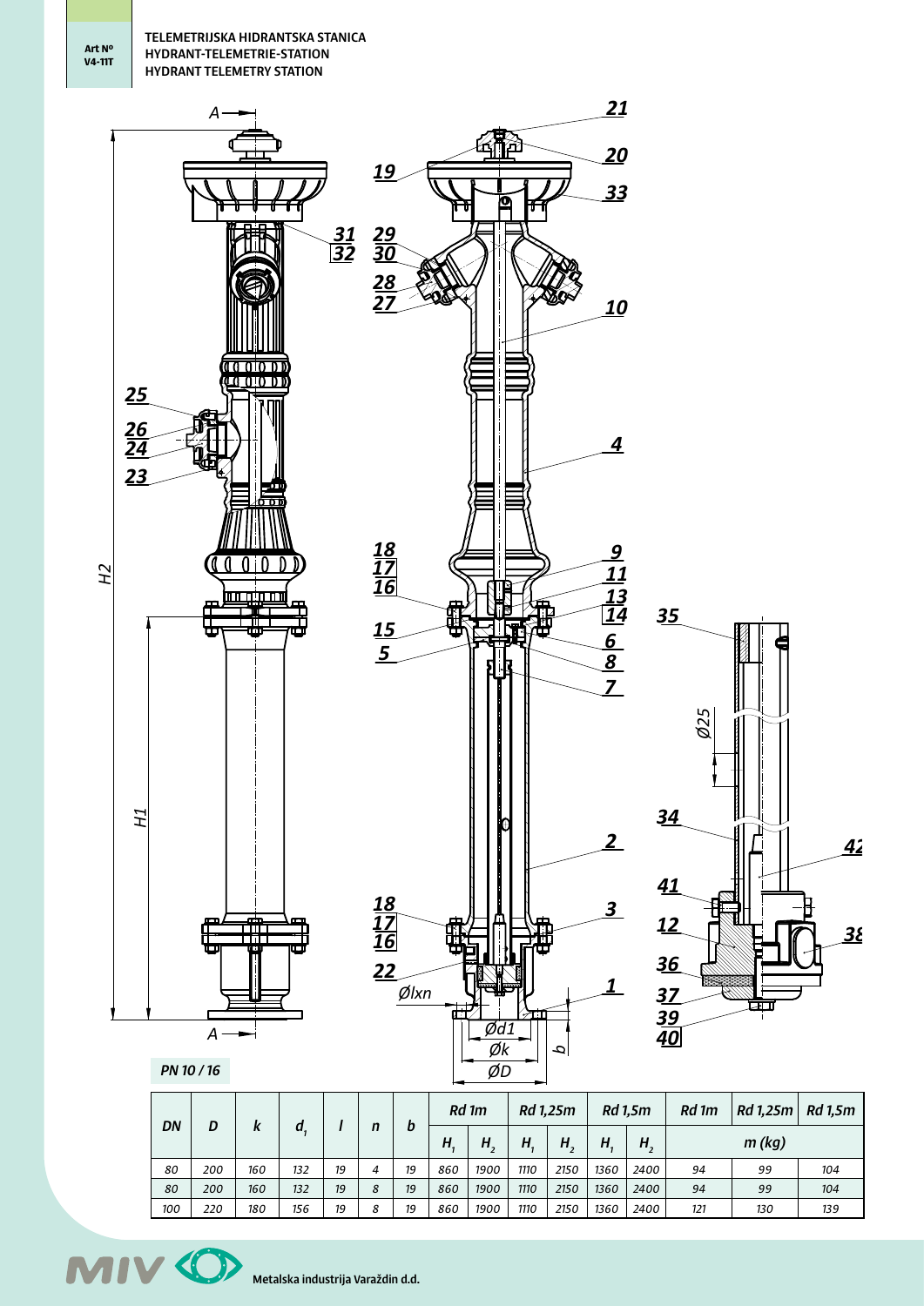**Art Nº V4-11T**



| DN  |     |     |     |    |   |    | Rd 1m |      | Rd 1,25m |      | Rd 1,5m |      | Rd 1m | Rd 1,25m | Rd 1,5m |
|-----|-----|-----|-----|----|---|----|-------|------|----------|------|---------|------|-------|----------|---------|
|     | D   |     | a   |    | n | b  | Н     | н    | H.       | Н.   | H       | H,   |       | m (kg)   |         |
| 80  | 200 | 160 | 132 | 19 | 4 | 19 | 860   | 1900 | 1110     | 2150 | 1360    | 2400 | 94    | 99       | 104     |
| 80  | 200 | 160 | 132 | 19 | 8 | 19 | 860   | 1900 | 1110     | 2150 | 1360    | 2400 | 94    | 99       | 104     |
| 100 | 220 | 180 | 156 | 19 | 8 | 19 | 860   | 1900 | 1110     | 2150 | 1360    | 2400 | 121   | 130      | 139     |

**MIV 40** Metalska industrija Varaždin d.d.